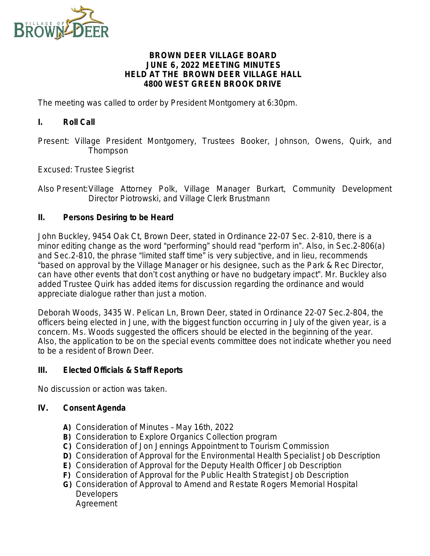

## **BROWN DEER VILLAGE BOARD JUNE 6, 2022 MEETING MINUTES HELD AT THE BROWN DEER VILLAGE HALL 4800 WEST GREEN BROOK DRIVE**

The meeting was called to order by President Montgomery at 6:30pm.

## **I. Roll Call**

Present: Village President Montgomery, Trustees Booker, Johnson, Owens, Quirk, and Thompson

Excused: Trustee Siegrist

Also Present:Village Attorney Polk, Village Manager Burkart, Community Development Director Piotrowski, and Village Clerk Brustmann

## **II. Persons Desiring to be Heard**

John Buckley, 9454 Oak Ct, Brown Deer, stated in Ordinance 22-07 Sec. 2-810, there is a minor editing change as the word "performing" should read "perform in". Also, in Sec.2-806(a) and Sec.2-810, the phrase "limited staff time" is very subjective, and in lieu, recommends "based on approval by the Village Manager or his designee, such as the Park & Rec Director, can have other events that don't cost anything or have no budgetary impact". Mr. Buckley also added Trustee Quirk has added items for discussion regarding the ordinance and would appreciate dialogue rather than just a motion.

Deborah Woods, 3435 W. Pelican Ln, Brown Deer, stated in Ordinance 22-07 Sec.2-804, the officers being elected in June, with the biggest function occurring in July of the given year, is a concern. Ms. Woods suggested the officers should be elected in the beginning of the year. Also, the application to be on the special events committee does not indicate whether you need to be a resident of Brown Deer.

#### **III. Elected Officials & Staff Reports**

*No discussion or action was taken.*

#### **IV. Consent Agenda**

- **A)** Consideration of Minutes May 16th, 2022
- **B)** Consideration to Explore Organics Collection program
- **C)** Consideration of Jon Jennings Appointment to Tourism Commission
- **D)** Consideration of Approval for the Environmental Health Specialist Job Description
- **E)** Consideration of Approval for the Deputy Health Officer Job Description
- **F)** Consideration of Approval for the Public Health Strategist Job Description
- **G)** Consideration of Approval to Amend and Restate Rogers Memorial Hospital **Developers** Agreement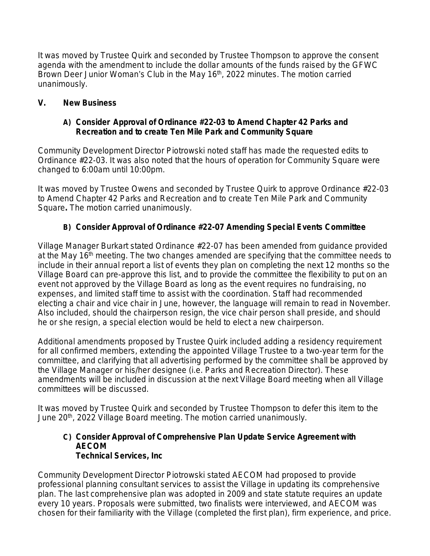*It was moved by Trustee Quirk and seconded by Trustee Thompson to approve the consent agenda with the amendment to include the dollar amounts of the funds raised by the GFWC Brown Deer Junior Woman*'*s Club in the May 16th, 2022 minutes. The motion carried unanimously.*

# **V. New Business**

# **A) Consider Approval of Ordinance #22-03 to Amend Chapter 42 Parks and Recreation and to create Ten Mile Park and Community Square**

Community Development Director Piotrowski noted staff has made the requested edits to Ordinance #22-03. It was also noted that the hours of operation for Community Square were changed to 6:00am until 10:00pm.

*It was moved by Trustee Owens and seconded by Trustee Quirk to approve Ordinance #22-03 to Amend Chapter 42 Parks and Recreation and to create Ten Mile Park and Community Square. The motion carried unanimously.*

# **B) Consider Approval of Ordinance #22-07 Amending Special Events Committee**

Village Manager Burkart stated Ordinance #22-07 has been amended from guidance provided at the May  $16<sup>th</sup>$  meeting. The two changes amended are specifying that the committee needs to include in their annual report a list of events they plan on completing the next 12 months so the Village Board can pre-approve this list, and to provide the committee the flexibility to put on an event not approved by the Village Board as long as the event requires no fundraising, no expenses, and limited staff time to assist with the coordination. Staff had recommended electing a chair and vice chair in June, however, the language will remain to read in November. Also included, should the chairperson resign, the vice chair person shall preside, and should he or she resign, a special election would be held to elect a new chairperson.

Additional amendments proposed by Trustee Quirk included adding a residency requirement for all confirmed members, extending the appointed Village Trustee to a two-year term for the committee, and clarifying that all advertising performed by the committee shall be approved by the Village Manager or his/her designee (i.e. Parks and Recreation Director). These amendments will be included in discussion at the next Village Board meeting when all Village committees will be discussed.

*It was moved by Trustee Quirk and seconded by Trustee Thompson to defer this item to the June 20th, 2022 Village Board meeting. The motion carried unanimously.*

## **C) Consider Approval of Comprehensive Plan Update Service Agreement with AECOM Technical Services, Inc**

Community Development Director Piotrowski stated AECOM had proposed to provide professional planning consultant services to assist the Village in updating its comprehensive plan. The last comprehensive plan was adopted in 2009 and state statute requires an update every 10 years. Proposals were submitted, two finalists were interviewed, and AECOM was chosen for their familiarity with the Village (completed the first plan), firm experience, and price.